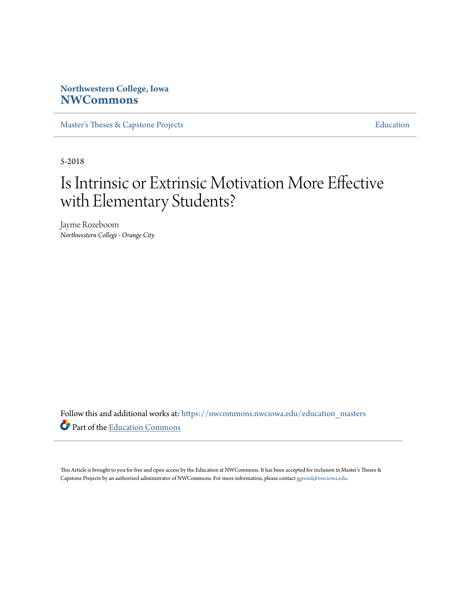## **Northwestern College, Iowa [NWCommons](https://nwcommons.nwciowa.edu?utm_source=nwcommons.nwciowa.edu%2Feducation_masters%2F79&utm_medium=PDF&utm_campaign=PDFCoverPages)**

[Master's Theses & Capstone Projects](https://nwcommons.nwciowa.edu/education_masters?utm_source=nwcommons.nwciowa.edu%2Feducation_masters%2F79&utm_medium=PDF&utm_campaign=PDFCoverPages) **[Education](https://nwcommons.nwciowa.edu/education?utm_source=nwcommons.nwciowa.edu%2Feducation_masters%2F79&utm_medium=PDF&utm_campaign=PDFCoverPages)** 

5-2018

# Is Intrinsic or Extrinsic Motivation More Effective with Elementary Students?

Jayme Rozeboom *Northwestern College - Orange City*

Follow this and additional works at: [https://nwcommons.nwciowa.edu/education\\_masters](https://nwcommons.nwciowa.edu/education_masters?utm_source=nwcommons.nwciowa.edu%2Feducation_masters%2F79&utm_medium=PDF&utm_campaign=PDFCoverPages) Part of the [Education Commons](http://network.bepress.com/hgg/discipline/784?utm_source=nwcommons.nwciowa.edu%2Feducation_masters%2F79&utm_medium=PDF&utm_campaign=PDFCoverPages)

This Article is brought to you for free and open access by the Education at NWCommons. It has been accepted for inclusion in Master's Theses & Capstone Projects by an authorized administrator of NWCommons. For more information, please contact [ggrond@nwciowa.edu.](mailto:ggrond@nwciowa.edu)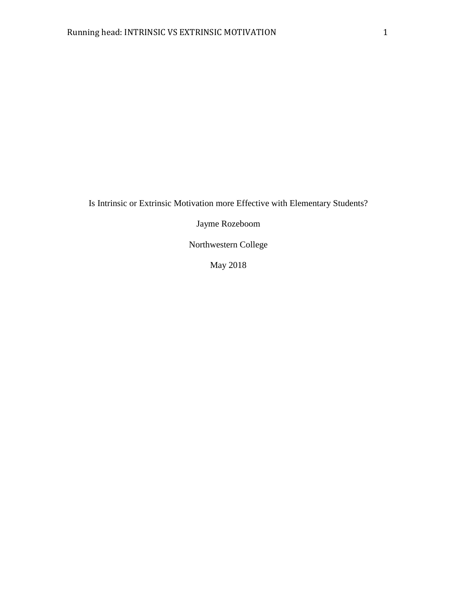Is Intrinsic or Extrinsic Motivation more Effective with Elementary Students?

Jayme Rozeboom

Northwestern College

May 2018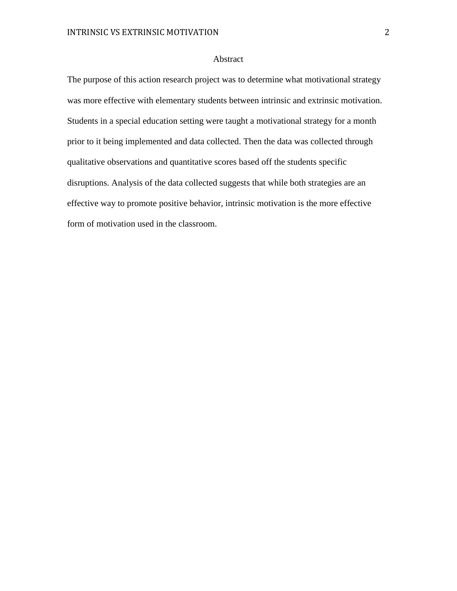## Abstract

The purpose of this action research project was to determine what motivational strategy was more effective with elementary students between intrinsic and extrinsic motivation. Students in a special education setting were taught a motivational strategy for a month prior to it being implemented and data collected. Then the data was collected through qualitative observations and quantitative scores based off the students specific disruptions. Analysis of the data collected suggests that while both strategies are an effective way to promote positive behavior, intrinsic motivation is the more effective form of motivation used in the classroom.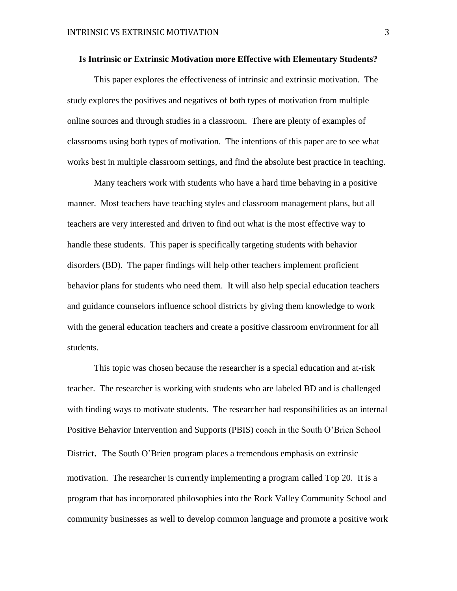#### **Is Intrinsic or Extrinsic Motivation more Effective with Elementary Students?**

This paper explores the effectiveness of intrinsic and extrinsic motivation. The study explores the positives and negatives of both types of motivation from multiple online sources and through studies in a classroom. There are plenty of examples of classrooms using both types of motivation. The intentions of this paper are to see what works best in multiple classroom settings, and find the absolute best practice in teaching.

Many teachers work with students who have a hard time behaving in a positive manner. Most teachers have teaching styles and classroom management plans, but all teachers are very interested and driven to find out what is the most effective way to handle these students. This paper is specifically targeting students with behavior disorders (BD). The paper findings will help other teachers implement proficient behavior plans for students who need them. It will also help special education teachers and guidance counselors influence school districts by giving them knowledge to work with the general education teachers and create a positive classroom environment for all students.

This topic was chosen because the researcher is a special education and at-risk teacher. The researcher is working with students who are labeled BD and is challenged with finding ways to motivate students. The researcher had responsibilities as an internal Positive Behavior Intervention and Supports (PBIS) coach in the South O'Brien School District. The South O'Brien program places a tremendous emphasis on extrinsic motivation. The researcher is currently implementing a program called Top 20. It is a program that has incorporated philosophies into the Rock Valley Community School and community businesses as well to develop common language and promote a positive work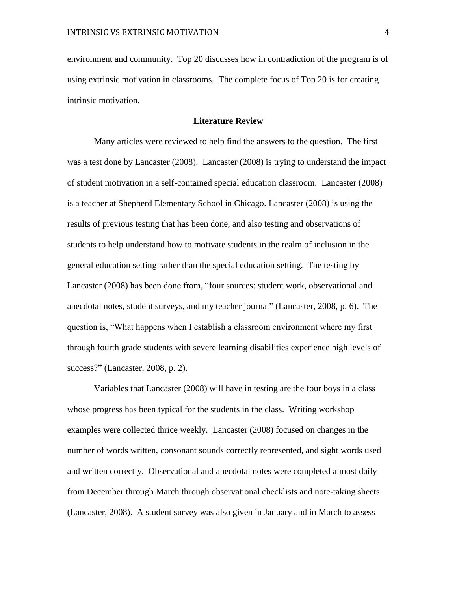environment and community. Top 20 discusses how in contradiction of the program is of using extrinsic motivation in classrooms. The complete focus of Top 20 is for creating intrinsic motivation.

## **Literature Review**

Many articles were reviewed to help find the answers to the question. The first was a test done by Lancaster (2008). Lancaster (2008) is trying to understand the impact of student motivation in a self-contained special education classroom. Lancaster (2008) is a teacher at Shepherd Elementary School in Chicago. Lancaster (2008) is using the results of previous testing that has been done, and also testing and observations of students to help understand how to motivate students in the realm of inclusion in the general education setting rather than the special education setting. The testing by Lancaster (2008) has been done from, "four sources: student work, observational and anecdotal notes, student surveys, and my teacher journal" (Lancaster, 2008, p. 6). The question is, "What happens when I establish a classroom environment where my first through fourth grade students with severe learning disabilities experience high levels of success?" (Lancaster, 2008, p. 2).

Variables that Lancaster (2008) will have in testing are the four boys in a class whose progress has been typical for the students in the class. Writing workshop examples were collected thrice weekly. Lancaster (2008) focused on changes in the number of words written, consonant sounds correctly represented, and sight words used and written correctly. Observational and anecdotal notes were completed almost daily from December through March through observational checklists and note-taking sheets (Lancaster, 2008). A student survey was also given in January and in March to assess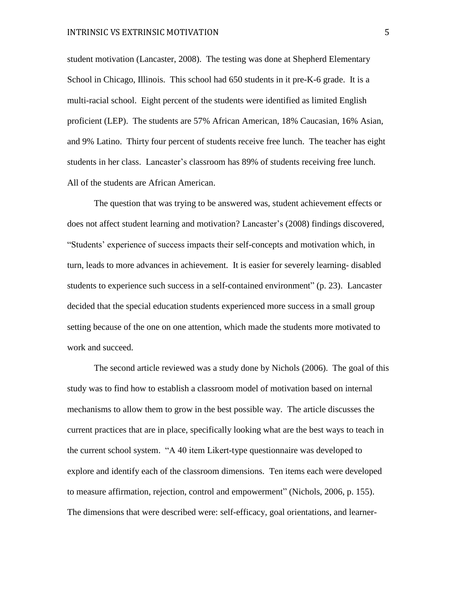student motivation (Lancaster, 2008). The testing was done at Shepherd Elementary School in Chicago, Illinois. This school had 650 students in it pre-K-6 grade. It is a multi-racial school. Eight percent of the students were identified as limited English proficient (LEP). The students are 57% African American, 18% Caucasian, 16% Asian, and 9% Latino. Thirty four percent of students receive free lunch. The teacher has eight students in her class. Lancaster's classroom has 89% of students receiving free lunch. All of the students are African American.

The question that was trying to be answered was, student achievement effects or does not affect student learning and motivation? Lancaster's (2008) findings discovered, "Students' experience of success impacts their self-concepts and motivation which, in turn, leads to more advances in achievement. It is easier for severely learning- disabled students to experience such success in a self-contained environment" (p. 23). Lancaster decided that the special education students experienced more success in a small group setting because of the one on one attention, which made the students more motivated to work and succeed.

The second article reviewed was a study done by Nichols (2006). The goal of this study was to find how to establish a classroom model of motivation based on internal mechanisms to allow them to grow in the best possible way. The article discusses the current practices that are in place, specifically looking what are the best ways to teach in the current school system. "A 40 item Likert-type questionnaire was developed to explore and identify each of the classroom dimensions. Ten items each were developed to measure affirmation, rejection, control and empowerment" (Nichols, 2006, p. 155). The dimensions that were described were: self-efficacy, goal orientations, and learner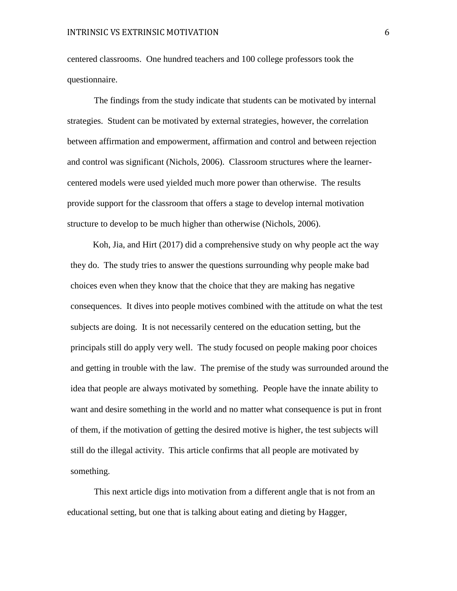centered classrooms. One hundred teachers and 100 college professors took the questionnaire.

The findings from the study indicate that students can be motivated by internal strategies. Student can be motivated by external strategies, however, the correlation between affirmation and empowerment, affirmation and control and between rejection and control was significant (Nichols, 2006). Classroom structures where the learnercentered models were used yielded much more power than otherwise. The results provide support for the classroom that offers a stage to develop internal motivation structure to develop to be much higher than otherwise (Nichols, 2006).

Koh, Jia, and Hirt (2017) did a comprehensive study on why people act the way they do. The study tries to answer the questions surrounding why people make bad choices even when they know that the choice that they are making has negative consequences. It dives into people motives combined with the attitude on what the test subjects are doing. It is not necessarily centered on the education setting, but the principals still do apply very well. The study focused on people making poor choices and getting in trouble with the law. The premise of the study was surrounded around the idea that people are always motivated by something. People have the innate ability to want and desire something in the world and no matter what consequence is put in front of them, if the motivation of getting the desired motive is higher, the test subjects will still do the illegal activity. This article confirms that all people are motivated by something.

This next article digs into motivation from a different angle that is not from an educational setting, but one that is talking about eating and dieting by Hagger,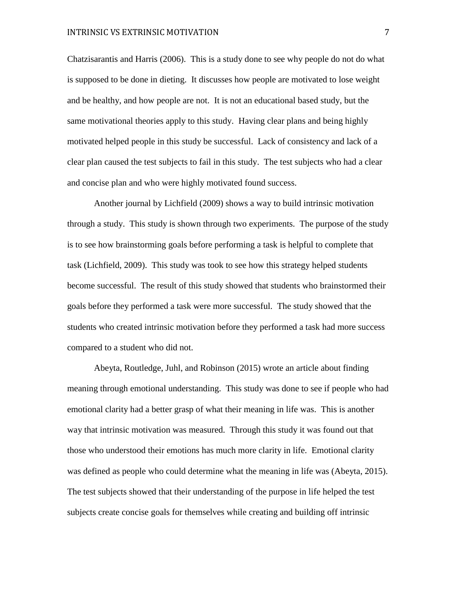Chatzisarantis and Harris (2006). This is a study done to see why people do not do what is supposed to be done in dieting. It discusses how people are motivated to lose weight and be healthy, and how people are not. It is not an educational based study, but the same motivational theories apply to this study. Having clear plans and being highly motivated helped people in this study be successful. Lack of consistency and lack of a clear plan caused the test subjects to fail in this study. The test subjects who had a clear and concise plan and who were highly motivated found success.

Another journal by Lichfield (2009) shows a way to build intrinsic motivation through a study. This study is shown through two experiments. The purpose of the study is to see how brainstorming goals before performing a task is helpful to complete that task (Lichfield, 2009). This study was took to see how this strategy helped students become successful. The result of this study showed that students who brainstormed their goals before they performed a task were more successful. The study showed that the students who created intrinsic motivation before they performed a task had more success compared to a student who did not.

Abeyta, Routledge, Juhl, and Robinson (2015) wrote an article about finding meaning through emotional understanding. This study was done to see if people who had emotional clarity had a better grasp of what their meaning in life was. This is another way that intrinsic motivation was measured. Through this study it was found out that those who understood their emotions has much more clarity in life. Emotional clarity was defined as people who could determine what the meaning in life was (Abeyta, 2015). The test subjects showed that their understanding of the purpose in life helped the test subjects create concise goals for themselves while creating and building off intrinsic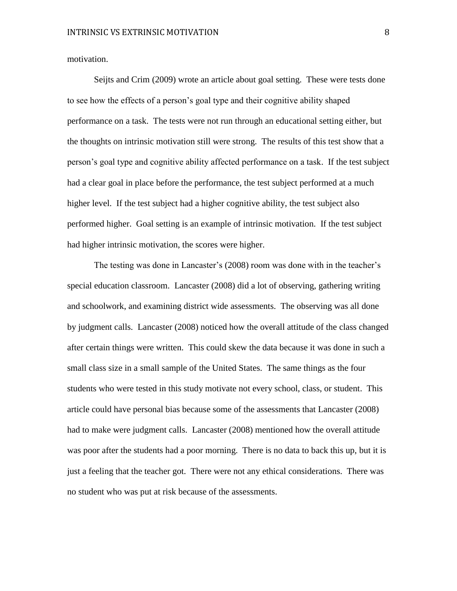motivation.

Seijts and Crim (2009) wrote an article about goal setting. These were tests done to see how the effects of a person's goal type and their cognitive ability shaped performance on a task. The tests were not run through an educational setting either, but the thoughts on intrinsic motivation still were strong. The results of this test show that a person's goal type and cognitive ability affected performance on a task. If the test subject had a clear goal in place before the performance, the test subject performed at a much higher level. If the test subject had a higher cognitive ability, the test subject also performed higher. Goal setting is an example of intrinsic motivation. If the test subject had higher intrinsic motivation, the scores were higher.

The testing was done in Lancaster's (2008) room was done with in the teacher's special education classroom. Lancaster (2008) did a lot of observing, gathering writing and schoolwork, and examining district wide assessments. The observing was all done by judgment calls. Lancaster (2008) noticed how the overall attitude of the class changed after certain things were written. This could skew the data because it was done in such a small class size in a small sample of the United States. The same things as the four students who were tested in this study motivate not every school, class, or student. This article could have personal bias because some of the assessments that Lancaster (2008) had to make were judgment calls. Lancaster (2008) mentioned how the overall attitude was poor after the students had a poor morning. There is no data to back this up, but it is just a feeling that the teacher got. There were not any ethical considerations. There was no student who was put at risk because of the assessments.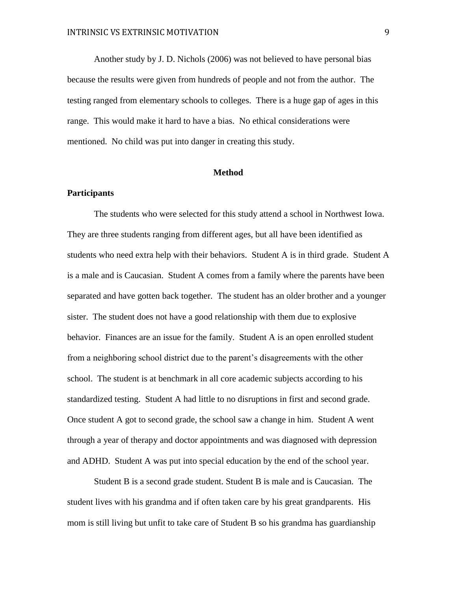Another study by J. D. Nichols (2006) was not believed to have personal bias because the results were given from hundreds of people and not from the author. The testing ranged from elementary schools to colleges. There is a huge gap of ages in this range. This would make it hard to have a bias. No ethical considerations were mentioned. No child was put into danger in creating this study.

## **Method**

## **Participants**

The students who were selected for this study attend a school in Northwest Iowa. They are three students ranging from different ages, but all have been identified as students who need extra help with their behaviors. Student A is in third grade. Student A is a male and is Caucasian. Student A comes from a family where the parents have been separated and have gotten back together. The student has an older brother and a younger sister. The student does not have a good relationship with them due to explosive behavior. Finances are an issue for the family. Student A is an open enrolled student from a neighboring school district due to the parent's disagreements with the other school. The student is at benchmark in all core academic subjects according to his standardized testing. Student A had little to no disruptions in first and second grade. Once student A got to second grade, the school saw a change in him. Student A went through a year of therapy and doctor appointments and was diagnosed with depression and ADHD. Student A was put into special education by the end of the school year.

Student B is a second grade student. Student B is male and is Caucasian. The student lives with his grandma and if often taken care by his great grandparents. His mom is still living but unfit to take care of Student B so his grandma has guardianship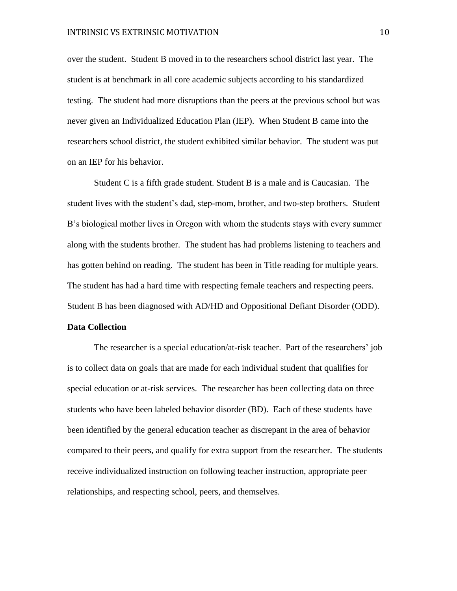over the student. Student B moved in to the researchers school district last year. The student is at benchmark in all core academic subjects according to his standardized testing. The student had more disruptions than the peers at the previous school but was never given an Individualized Education Plan (IEP). When Student B came into the researchers school district, the student exhibited similar behavior. The student was put on an IEP for his behavior.

Student C is a fifth grade student. Student B is a male and is Caucasian. The student lives with the student's dad, step-mom, brother, and two-step brothers. Student B's biological mother lives in Oregon with whom the students stays with every summer along with the students brother. The student has had problems listening to teachers and has gotten behind on reading. The student has been in Title reading for multiple years. The student has had a hard time with respecting female teachers and respecting peers. Student B has been diagnosed with AD/HD and Oppositional Defiant Disorder (ODD).

### **Data Collection**

The researcher is a special education/at-risk teacher. Part of the researchers' job is to collect data on goals that are made for each individual student that qualifies for special education or at-risk services. The researcher has been collecting data on three students who have been labeled behavior disorder (BD). Each of these students have been identified by the general education teacher as discrepant in the area of behavior compared to their peers, and qualify for extra support from the researcher. The students receive individualized instruction on following teacher instruction, appropriate peer relationships, and respecting school, peers, and themselves.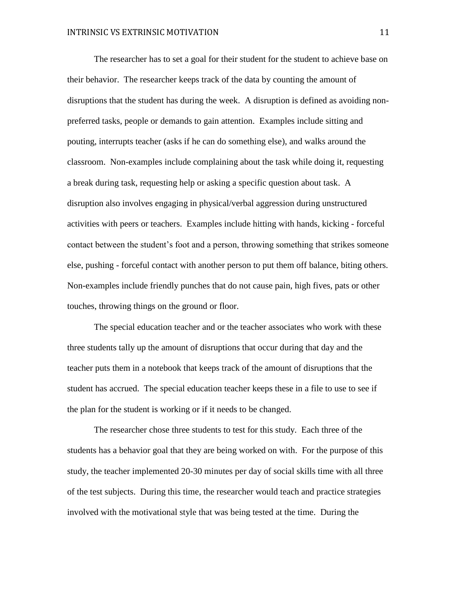The researcher has to set a goal for their student for the student to achieve base on their behavior. The researcher keeps track of the data by counting the amount of disruptions that the student has during the week. A disruption is defined as avoiding nonpreferred tasks, people or demands to gain attention. Examples include sitting and pouting, interrupts teacher (asks if he can do something else), and walks around the classroom. Non-examples include complaining about the task while doing it, requesting a break during task, requesting help or asking a specific question about task. A disruption also involves engaging in physical/verbal aggression during unstructured activities with peers or teachers. Examples include hitting with hands, kicking - forceful contact between the student's foot and a person, throwing something that strikes someone else, pushing - forceful contact with another person to put them off balance, biting others. Non-examples include friendly punches that do not cause pain, high fives, pats or other touches, throwing things on the ground or floor.

The special education teacher and or the teacher associates who work with these three students tally up the amount of disruptions that occur during that day and the teacher puts them in a notebook that keeps track of the amount of disruptions that the student has accrued. The special education teacher keeps these in a file to use to see if the plan for the student is working or if it needs to be changed.

The researcher chose three students to test for this study. Each three of the students has a behavior goal that they are being worked on with. For the purpose of this study, the teacher implemented 20-30 minutes per day of social skills time with all three of the test subjects. During this time, the researcher would teach and practice strategies involved with the motivational style that was being tested at the time. During the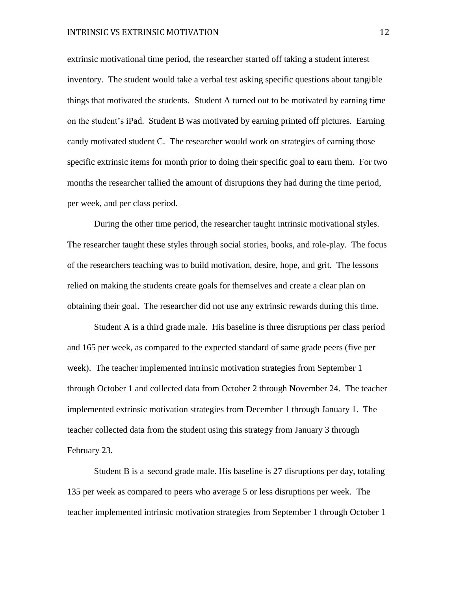extrinsic motivational time period, the researcher started off taking a student interest inventory. The student would take a verbal test asking specific questions about tangible things that motivated the students. Student A turned out to be motivated by earning time on the student's iPad. Student B was motivated by earning printed off pictures. Earning candy motivated student C. The researcher would work on strategies of earning those specific extrinsic items for month prior to doing their specific goal to earn them. For two months the researcher tallied the amount of disruptions they had during the time period, per week, and per class period.

During the other time period, the researcher taught intrinsic motivational styles. The researcher taught these styles through social stories, books, and role-play. The focus of the researchers teaching was to build motivation, desire, hope, and grit. The lessons relied on making the students create goals for themselves and create a clear plan on obtaining their goal. The researcher did not use any extrinsic rewards during this time.

Student A is a third grade male. His baseline is three disruptions per class period and 165 per week, as compared to the expected standard of same grade peers (five per week). The teacher implemented intrinsic motivation strategies from September 1 through October 1 and collected data from October 2 through November 24. The teacher implemented extrinsic motivation strategies from December 1 through January 1. The teacher collected data from the student using this strategy from January 3 through February 23.

Student B is a second grade male. His baseline is 27 disruptions per day, totaling 135 per week as compared to peers who average 5 or less disruptions per week. The teacher implemented intrinsic motivation strategies from September 1 through October 1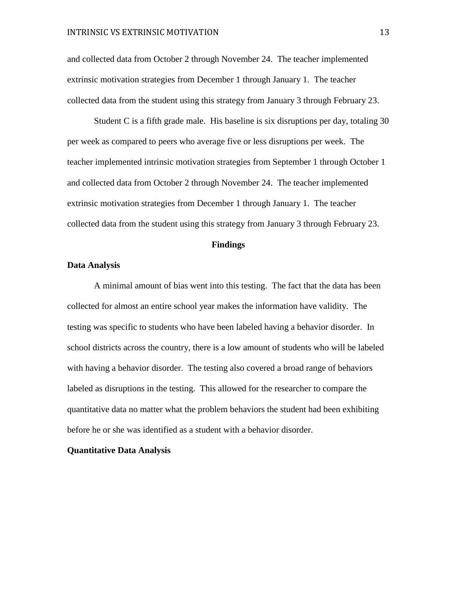and collected data from October 2 through November 24. The teacher implemented extrinsic motivation strategies from December 1 through January 1. The teacher collected data from the student using this strategy from January 3 through February 23.

Student C is a fifth grade male. His baseline is six disruptions per day, totaling 30 per week as compared to peers who average five or less disruptions per week. The teacher implemented intrinsic motivation strategies from September 1 through October 1 and collected data from October 2 through November 24. The teacher implemented extrinsic motivation strategies from December 1 through January 1. The teacher collected data from the student using this strategy from January 3 through February 23.

#### **Findings**

#### **Data Analysis**

A minimal amount of bias went into this testing. The fact that the data has been collected for almost an entire school year makes the information have validity. The testing was specific to students who have been labeled having a behavior disorder. In school districts across the country, there is a low amount of students who will be labeled with having a behavior disorder. The testing also covered a broad range of behaviors labeled as disruptions in the testing. This allowed for the researcher to compare the quantitative data no matter what the problem behaviors the student had been exhibiting before he or she was identified as a student with a behavior disorder.

## **Quantitative Data Analysis**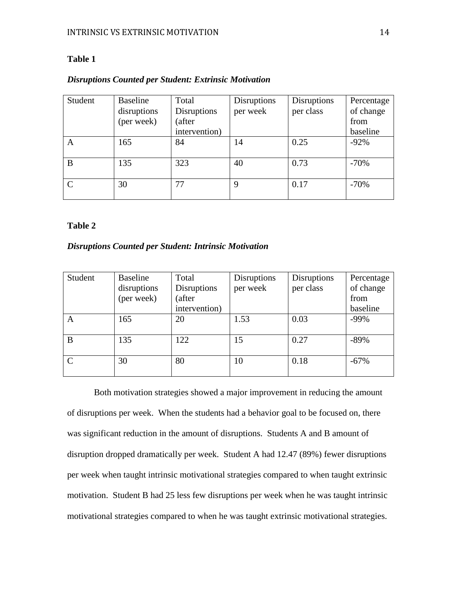## **Table 1**

## *Disruptions Counted per Student: Extrinsic Motivation*

| Student | Baseline    | Total              | <b>Disruptions</b> | Disruptions | Percentage |
|---------|-------------|--------------------|--------------------|-------------|------------|
|         | disruptions | <b>Disruptions</b> | per week           | per class   | of change  |
|         | (per week)  | (after             |                    |             | from       |
|         |             | intervention)      |                    |             | baseline   |
| A       | 165         | 84                 | 14                 | 0.25        | $-92%$     |
| B       | 135         | 323                | 40                 | 0.73        | $-70%$     |
|         | 30          | 77                 | 9                  | 0.17        | $-70%$     |

## **Table 2**

## *Disruptions Counted per Student: Intrinsic Motivation*

| Student | <b>Baseline</b><br>disruptions | Total<br>Disruptions | <b>Disruptions</b><br>per week | <b>Disruptions</b><br>per class | Percentage<br>of change |
|---------|--------------------------------|----------------------|--------------------------------|---------------------------------|-------------------------|
|         | (per week)                     | (after               |                                |                                 | from                    |
|         |                                | intervention)        |                                |                                 | baseline                |
| A       | 165                            | 20                   | 1.53                           | 0.03                            | $-99%$                  |
| B       | 135                            | 122                  | 15                             | 0.27                            | $-89%$                  |
|         | 30                             | 80                   | 10                             | 0.18                            | $-67\%$                 |

Both motivation strategies showed a major improvement in reducing the amount of disruptions per week. When the students had a behavior goal to be focused on, there was significant reduction in the amount of disruptions. Students A and B amount of disruption dropped dramatically per week. Student A had 12.47 (89%) fewer disruptions per week when taught intrinsic motivational strategies compared to when taught extrinsic motivation. Student B had 25 less few disruptions per week when he was taught intrinsic motivational strategies compared to when he was taught extrinsic motivational strategies.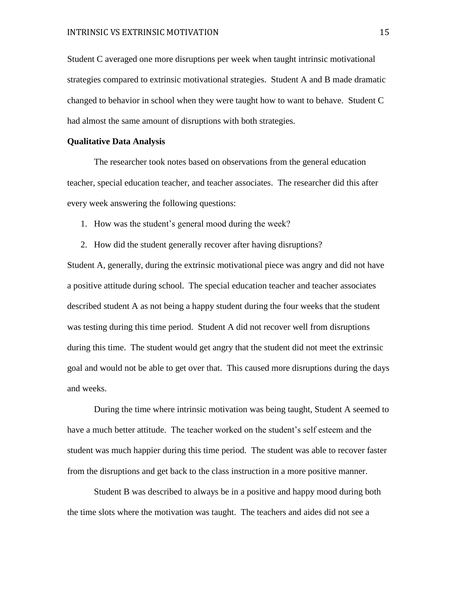Student C averaged one more disruptions per week when taught intrinsic motivational strategies compared to extrinsic motivational strategies. Student A and B made dramatic changed to behavior in school when they were taught how to want to behave. Student C had almost the same amount of disruptions with both strategies.

#### **Qualitative Data Analysis**

The researcher took notes based on observations from the general education teacher, special education teacher, and teacher associates. The researcher did this after every week answering the following questions:

1. How was the student's general mood during the week?

2. How did the student generally recover after having disruptions?

Student A, generally, during the extrinsic motivational piece was angry and did not have a positive attitude during school. The special education teacher and teacher associates described student A as not being a happy student during the four weeks that the student was testing during this time period. Student A did not recover well from disruptions during this time. The student would get angry that the student did not meet the extrinsic goal and would not be able to get over that. This caused more disruptions during the days and weeks.

During the time where intrinsic motivation was being taught, Student A seemed to have a much better attitude. The teacher worked on the student's self esteem and the student was much happier during this time period. The student was able to recover faster from the disruptions and get back to the class instruction in a more positive manner.

Student B was described to always be in a positive and happy mood during both the time slots where the motivation was taught. The teachers and aides did not see a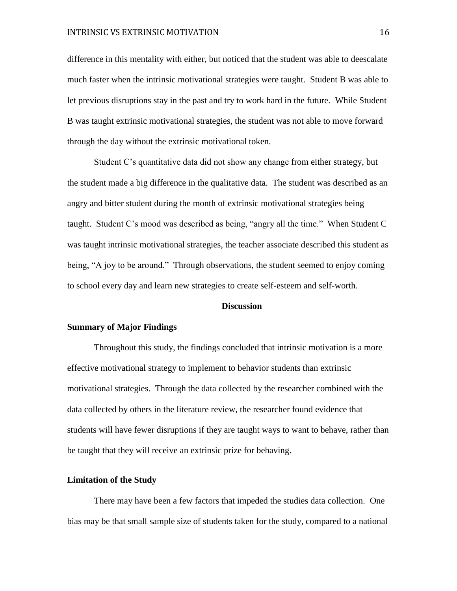difference in this mentality with either, but noticed that the student was able to deescalate much faster when the intrinsic motivational strategies were taught. Student B was able to let previous disruptions stay in the past and try to work hard in the future. While Student B was taught extrinsic motivational strategies, the student was not able to move forward through the day without the extrinsic motivational token.

Student C's quantitative data did not show any change from either strategy, but the student made a big difference in the qualitative data. The student was described as an angry and bitter student during the month of extrinsic motivational strategies being taught. Student C's mood was described as being, "angry all the time." When Student C was taught intrinsic motivational strategies, the teacher associate described this student as being, "A joy to be around." Through observations, the student seemed to enjoy coming to school every day and learn new strategies to create self-esteem and self-worth.

#### **Discussion**

#### **Summary of Major Findings**

Throughout this study, the findings concluded that intrinsic motivation is a more effective motivational strategy to implement to behavior students than extrinsic motivational strategies. Through the data collected by the researcher combined with the data collected by others in the literature review, the researcher found evidence that students will have fewer disruptions if they are taught ways to want to behave, rather than be taught that they will receive an extrinsic prize for behaving.

## **Limitation of the Study**

There may have been a few factors that impeded the studies data collection. One bias may be that small sample size of students taken for the study, compared to a national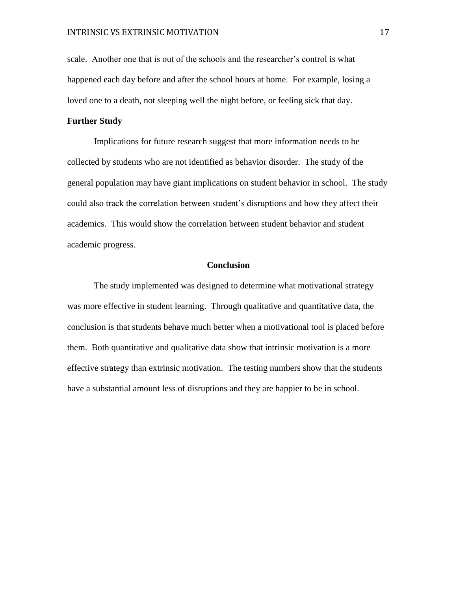scale. Another one that is out of the schools and the researcher's control is what happened each day before and after the school hours at home. For example, losing a loved one to a death, not sleeping well the night before, or feeling sick that day.

## **Further Study**

Implications for future research suggest that more information needs to be collected by students who are not identified as behavior disorder. The study of the general population may have giant implications on student behavior in school. The study could also track the correlation between student's disruptions and how they affect their academics. This would show the correlation between student behavior and student academic progress.

## **Conclusion**

The study implemented was designed to determine what motivational strategy was more effective in student learning. Through qualitative and quantitative data, the conclusion is that students behave much better when a motivational tool is placed before them. Both quantitative and qualitative data show that intrinsic motivation is a more effective strategy than extrinsic motivation. The testing numbers show that the students have a substantial amount less of disruptions and they are happier to be in school.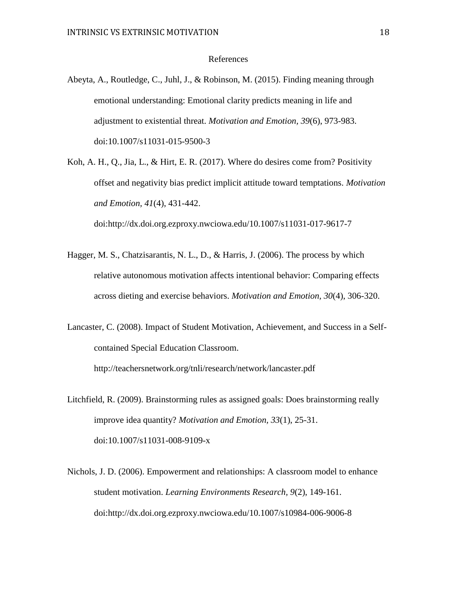#### References

- Abeyta, A., Routledge, C., Juhl, J., & Robinson, M. (2015). Finding meaning through emotional understanding: Emotional clarity predicts meaning in life and adjustment to existential threat. *Motivation and Emotion, 39*(6), 973-983. doi:10.1007/s11031-015-9500-3
- Koh, A. H., Q., Jia, L., & Hirt, E. R. (2017). Where do desires come from? Positivity offset and negativity bias predict implicit attitude toward temptations. *Motivation and Emotion, 41*(4), 431-442. doi:http://dx.doi.org.ezproxy.nwciowa.edu/10.1007/s11031-017-9617-7
- Hagger, M. S., Chatzisarantis, N. L., D., & Harris, J. (2006). The process by which relative autonomous motivation affects intentional behavior: Comparing effects across dieting and exercise behaviors. *Motivation and Emotion, 30*(4), 306-320.
- Lancaster, C. (2008). Impact of Student Motivation, Achievement, and Success in a Selfcontained Special Education Classroom.

http://teachersnetwork.org/tnli/research/network/lancaster.pdf

- Litchfield, R. (2009). Brainstorming rules as assigned goals: Does brainstorming really improve idea quantity? *Motivation and Emotion, 33*(1), 25-31. doi:10.1007/s11031-008-9109-x
- Nichols, J. D. (2006). Empowerment and relationships: A classroom model to enhance student motivation. *Learning Environments Research, 9*(2), 149-161. doi:http://dx.doi.org.ezproxy.nwciowa.edu/10.1007/s10984-006-9006-8